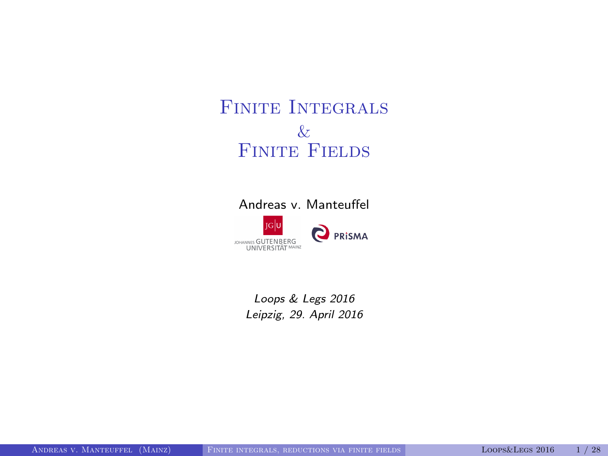# FINITE INTEGRALS & FINITE FIELDS

#### Andreas v. Manteuffel



<span id="page-0-0"></span>Loops & Legs 2016 Leipzig, 29. April 2016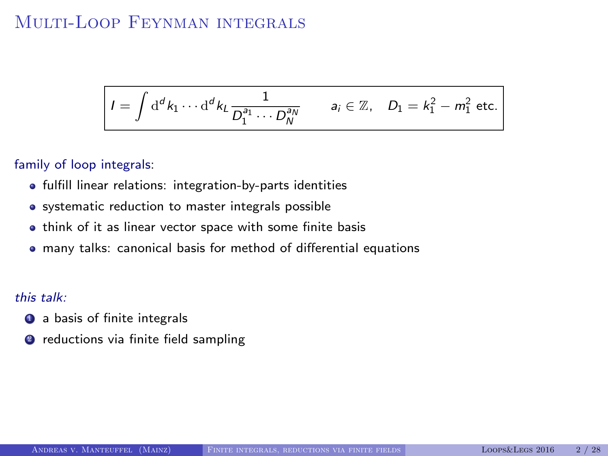# MULTI-LOOP FEYNMAN INTEGRALS

$$
I=\int\mathrm{d}^dk_1\cdots\mathrm{d}^dk_L\frac{1}{D_1^{a_1}\cdots D_N^{a_N}}\qquad a_i\in\mathbb{Z},\quad D_1=k_1^2-m_1^2\text{ etc.}
$$

#### family of loop integrals:

- **•** fulfill linear relations: integration-by-parts identities
- systematic reduction to master integrals possible
- think of it as linear vector space with some finite basis
- many talks: canonical basis for method of differential equations

#### this talk:

- **4** a basis of finite integrals
- **2** reductions via finite field sampling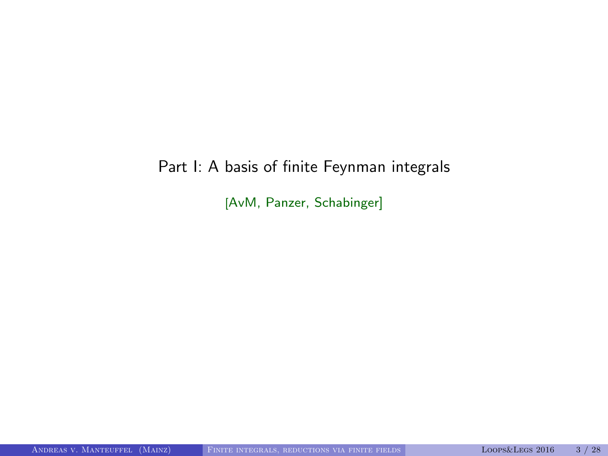# Part I: A basis of finite Feynman integrals

[AvM, Panzer, Schabinger]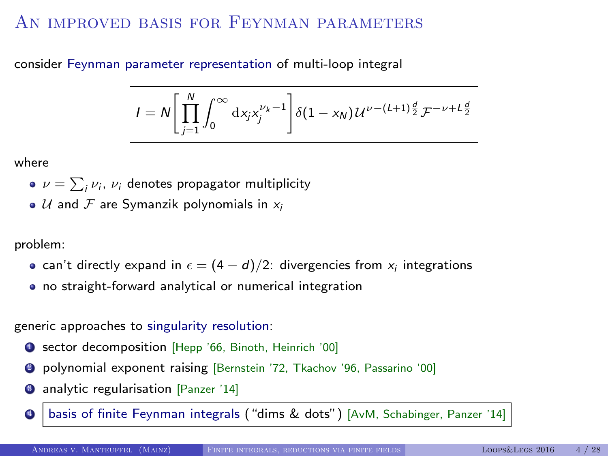# AN IMPROVED BASIS FOR FEYNMAN PARAMETERS

consider Feynman parameter representation of multi-loop integral

$$
I = N \left[ \prod_{j=1}^{N} \int_{0}^{\infty} \mathrm{d}x_{j} x_{j}^{\nu_{k}-1} \right] \delta(1-x_{N}) \, \mathcal{U}^{\nu-(L+1)\frac{d}{2}} \mathcal{F}^{-\nu+L\frac{d}{2}}
$$

where

- $\nu = \sum_i \nu_i$ ,  $\nu_i$  denotes propagator multiplicity
- $\bullet$  U and F are Symanzik polynomials in  $x_i$

problem:

- can't directly expand in  $\epsilon=(4-d)/2$ : divergencies from  $\mathsf{x}_i$  integrations
- no straight-forward analytical or numerical integration

generic approaches to singularity resolution:

- **4** sector decomposition [Hepp '66, Binoth, Heinrich '00]
- <sup>2</sup> polynomial exponent raising [Bernstein '72, Tkachov '96, Passarino '00]
- **3** analytic regularisation [Panzer '14]
- basis of finite Feynman integrals ("dims & dots") [AvM, Schabinger, Panzer '14]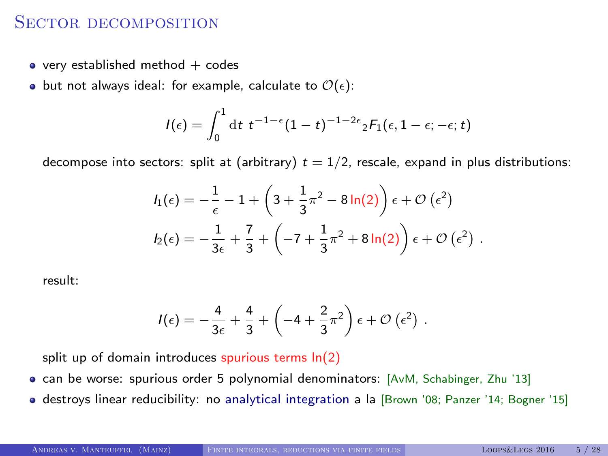## SECTOR DECOMPOSITION

- $\bullet$  very established method  $+$  codes
- but not always ideal: for example, calculate to  $\mathcal{O}(\epsilon)$ :

$$
I(\epsilon) = \int_0^1 dt \ t^{-1-\epsilon} (1-t)^{-1-2\epsilon} {}_2F_1(\epsilon, 1-\epsilon; -\epsilon; t)
$$

decompose into sectors: split at (arbitrary)  $t = 1/2$ , rescale, expand in plus distributions:

$$
I_1(\epsilon) = -\frac{1}{\epsilon} - 1 + \left(3 + \frac{1}{3}\pi^2 - 8\ln(2)\right)\epsilon + \mathcal{O}(\epsilon^2)
$$
  

$$
I_2(\epsilon) = -\frac{1}{3\epsilon} + \frac{7}{3} + \left(-7 + \frac{1}{3}\pi^2 + 8\ln(2)\right)\epsilon + \mathcal{O}(\epsilon^2).
$$

result:

$$
I(\epsilon) = -\frac{4}{3\epsilon} + \frac{4}{3} + \left(-4 + \frac{2}{3}\pi^2\right)\epsilon + \mathcal{O}\left(\epsilon^2\right) .
$$

split up of domain introduces spurious terms  $ln(2)$ 

- can be worse: spurious order 5 polynomial denominators: [AvM, Schabinger, Zhu '13]
- destroys linear reducibility: no analytical integration a la [Brown '08; Panzer '14; Bogner '15]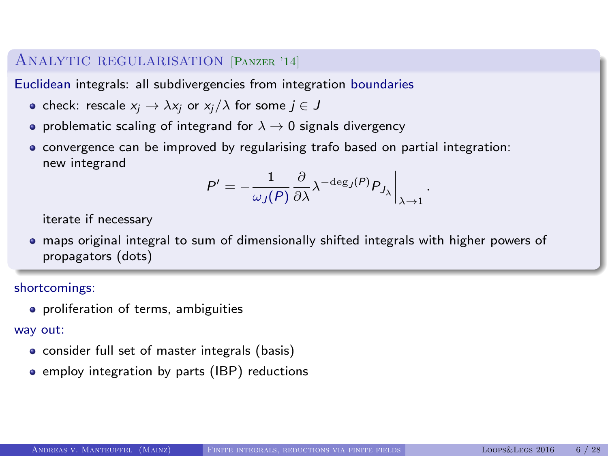### Analytic regularisation [Panzer '14]

Euclidean integrals: all subdivergencies from integration boundaries

- check: rescale  $x_i \rightarrow \lambda x_i$  or  $x_i/\lambda$  for some  $j \in J$
- problematic scaling of integrand for  $\lambda \to 0$  signals divergency
- convergence can be improved by regularising trafo based on partial integration: new integrand

$$
P' = -\frac{1}{\omega_J(P)} \frac{\partial}{\partial \lambda} \lambda^{-\deg_J(P)} P_{J_\lambda} \bigg|_{\lambda \to 1}
$$

.

iterate if necessary

• maps original integral to sum of dimensionally shifted integrals with higher powers of propagators (dots)

#### shortcomings:

**•** proliferation of terms, ambiguities

#### way out:

- consider full set of master integrals (basis)
- employ integration by parts (IBP) reductions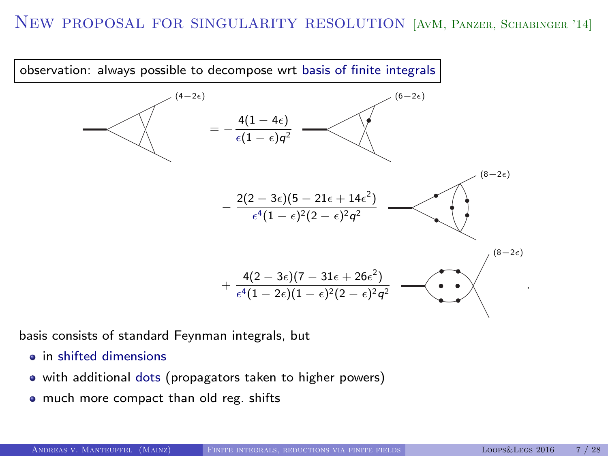### New proposal for singularity resolution [AvM, Panzer, Schabinger '14]



basis consists of standard Feynman integrals, but

- **a** in shifted dimensions
- with additional dots (propagators taken to higher powers)
- much more compact than old reg. shifts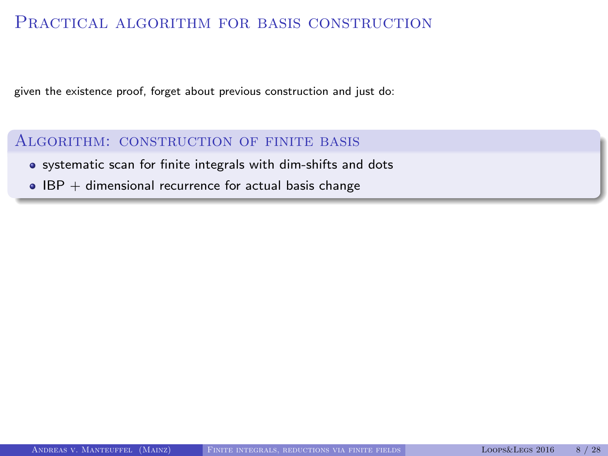### PRACTICAL ALGORITHM FOR BASIS CONSTRUCTION

given the existence proof, forget about previous construction and just do:

### Algorithm: construction of finite basis

- systematic scan for finite integrals with dim-shifts and dots
- $\bullet$  IBP + dimensional recurrence for actual basis change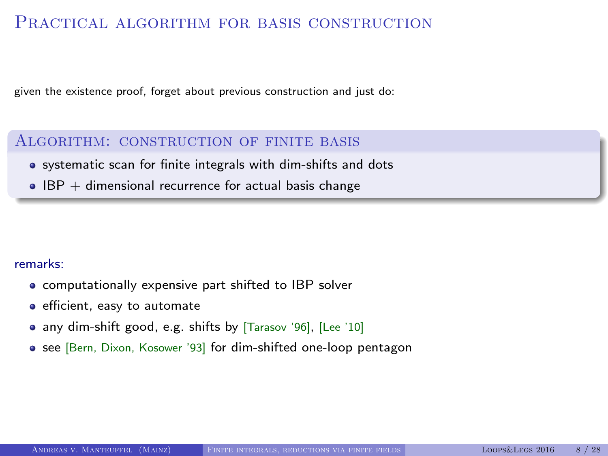## PRACTICAL ALGORITHM FOR BASIS CONSTRUCTION

given the existence proof, forget about previous construction and just do:

### Algorithm: construction of finite basis

- systematic scan for finite integrals with dim-shifts and dots
- $\bullet$  IBP + dimensional recurrence for actual basis change

#### remarks:

- computationally expensive part shifted to IBP solver
- **e** efficient, easy to automate
- any dim-shift good, e.g. shifts by [Tarasov '96], [Lee '10]
- see [Bern, Dixon, Kosower '93] for dim-shifted one-loop pentagon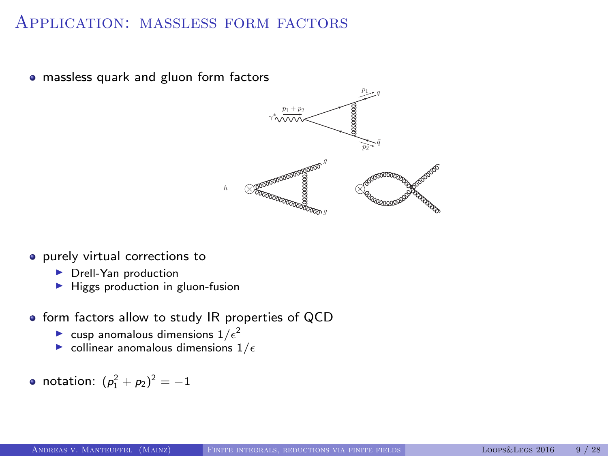# Application: massless form factors

• massless quark and gluon form factors



- **•** purely virtual corrections to
	- $\blacktriangleright$  Drell-Yan production
	- $\blacktriangleright$  Higgs production in gluon-fusion
- $\bullet$  form factors allow to study IR properties of QCD
	- **Let** cusp anomalous dimensions  $1/\epsilon^2$
	- $\triangleright$  collinear anomalous dimensions  $1/\epsilon$
- notation:  $(p_1^2 + p_2)^2 = -1$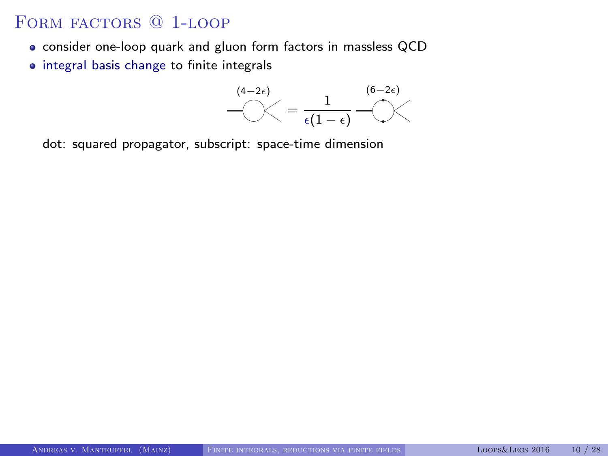## FORM FACTORS <sup>@</sup> 1-LOOP

- consider one-loop quark and gluon form factors in massless QCD
- integral basis change to finite integrals



dot: squared propagator, subscript: space-time dimension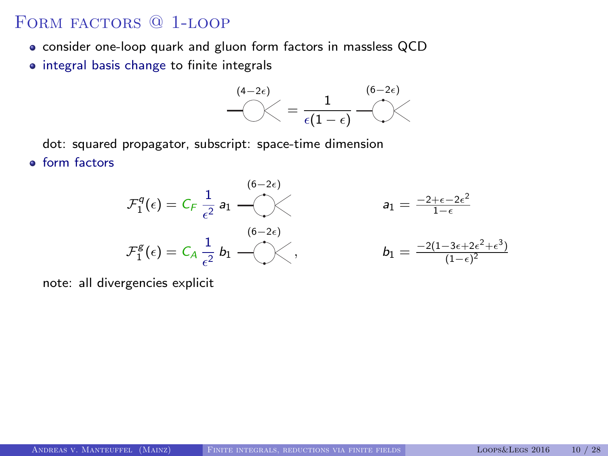FORM FACTORS @ 1-LOOP

- consider one-loop quark and gluon form factors in massless QCD
- integral basis change to finite integrals



dot: squared propagator, subscript: space-time dimension

**o** form factors



note: all divergencies explicit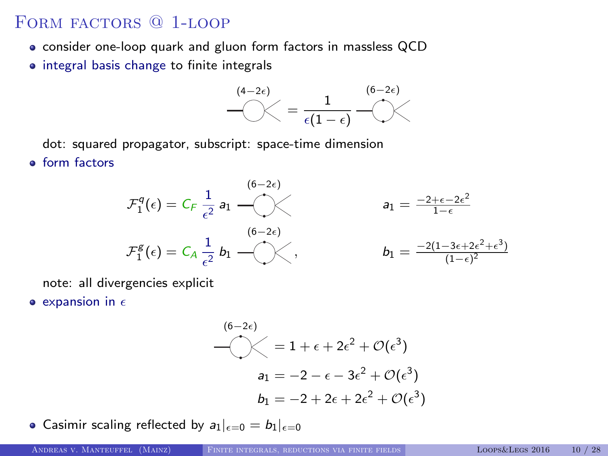FORM FACTORS @ 1-LOOP

- consider one-loop quark and gluon form factors in massless QCD
- $\bullet$  integral basis change to finite integrals



dot: squared propagator, subscript: space-time dimension

**o** form factors



note: all divergencies explicit

 $\bullet$  expansion in  $\epsilon$ 

$$
(6-2\epsilon)
$$
  
\n
$$
= 1 + \epsilon + 2\epsilon^2 + \mathcal{O}(\epsilon^3)
$$
  
\n
$$
a_1 = -2 - \epsilon - 3\epsilon^2 + \mathcal{O}(\epsilon^3)
$$
  
\n
$$
b_1 = -2 + 2\epsilon + 2\epsilon^2 + \mathcal{O}(\epsilon^3)
$$

• Casimir scaling reflected by  $a_1|_{\epsilon=0} = b_1|_{\epsilon=0}$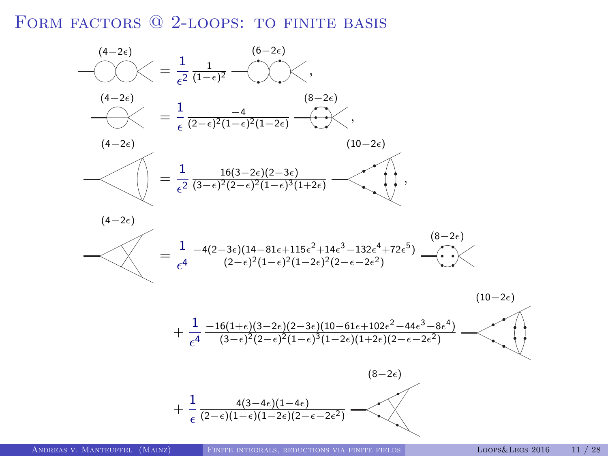FORM FACTORS @ 2-LOOPS: TO FINITE BASIS

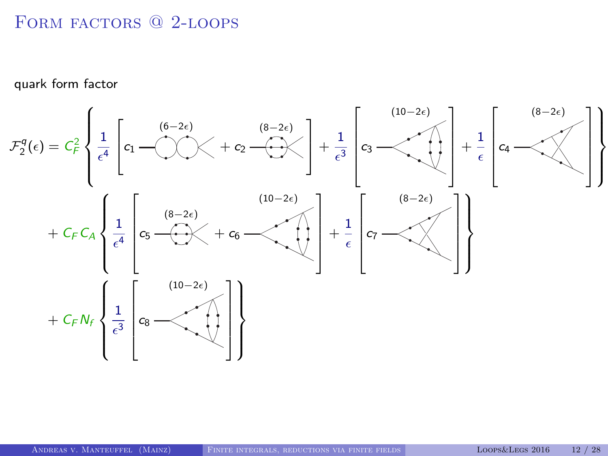# FORM FACTORS @ 2-LOOPS

quark form factor

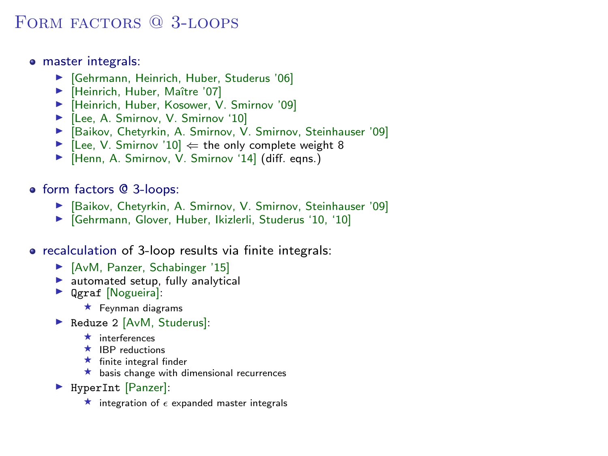## FORM FACTORS @ 3-LOOPS

- master integrals:
	- $\blacktriangleright$  [Gehrmann, Heinrich, Huber, Studerus '06]
	- ▶ [Heinrich, Huber, Maître '07]
	- ▶ [Heinrich, Huber, Kosower, V. Smirnov '09]
	- ▶ [Lee, A. Smirnov, V. Smirnov '10]
	- ▶ [Baikov, Chetyrkin, A. Smirnov, V. Smirnov, Steinhauser '09]
	- $\blacktriangleright$  [Lee, V. Smirnov '10]  $\Leftarrow$  the only complete weight 8
	- ▶ [Henn, A. Smirnov, V. Smirnov '14] (diff. eqns.)
- form factors @ 3-loops:
	- ▶ [Baikov, Chetyrkin, A. Smirnov, V. Smirnov, Steinhauser '09]
	- $\blacktriangleright$  [Gehrmann, Glover, Huber, Ikizlerli, Studerus '10, '10]
- recalculation of 3-loop results via finite integrals:
	- $\blacktriangleright$  [AvM, Panzer, Schabinger '15]
	- $\blacktriangleright$  automated setup, fully analytical
	- **Dear [Nogueira]:** 
		- $\star$  Feynman diagrams
	- Reduze 2 [AvM, Studerus]:
		- $\star$  interferences
		- $\star$  IBP reductions
		- $\star$  finite integral finder
		- $\star$  basis change with dimensional recurrences
	- ▶ HyperInt [Panzer]:
		- $\star$  integration of  $\epsilon$  expanded master integrals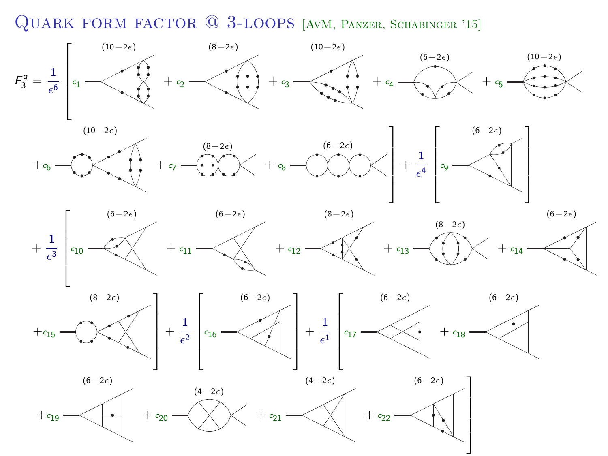Quark form factor @ 3-loops [AvM, Panzer, Schabinger '15]









1  $\mathbf{I}$  $\mathbf{I}$  $\mathbf{I}$  $\frac{1}{2}$  $\overline{1}$  $\mathbf{I}$ 



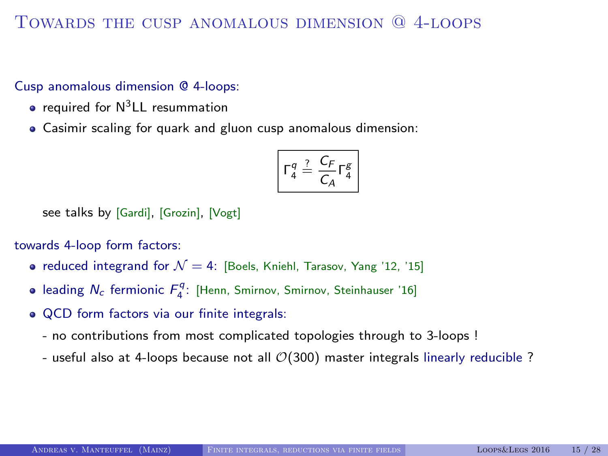## Towards the cusp anomalous dimension @ 4-loops

Cusp anomalous dimension @ 4-loops:

- $\bullet$  required for  $N^3$ LL resummation
- Casimir scaling for quark and gluon cusp anomalous dimension:

$$
\Gamma_4^q \stackrel{?}{=} \frac{C_F}{C_A} \Gamma_4^g
$$

see talks by [Gardi], [Grozin], [Vogt]

towards 4-loop form factors:

- reduced integrand for  $\mathcal{N} = 4$ : [Boels, Kniehl, Tarasov, Yang '12, '15]
- leading  $N_c$  fermionic  $F_4^q$ : [Henn, Smirnov, Smirnov, Steinhauser '16]
- QCD form factors via our finite integrals:
	- no contributions from most complicated topologies through to 3-loops !
	- useful also at 4-loops because not all  $\mathcal{O}(300)$  master integrals linearly reducible ?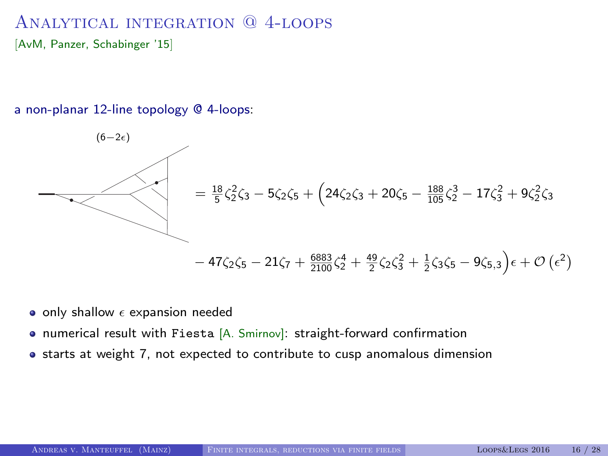# Analytical integration @ 4-loops

[AvM, Panzer, Schabinger '15]

a non-planar 12-line topology @ 4-loops:

$$
= \frac{18}{5} \zeta_2^2 \zeta_3 - 5 \zeta_2 \zeta_5 + \left(24 \zeta_2 \zeta_3 + 20 \zeta_5 - \frac{188}{105} \zeta_2^3 - 17 \zeta_3^2 + 9 \zeta_2^2 \zeta_3\right)
$$

$$
- 47 \zeta_2 \zeta_5 - 21 \zeta_7 + \frac{6883}{2100} \zeta_2^4 + \frac{49}{2} \zeta_2 \zeta_3^2 + \frac{1}{2} \zeta_3 \zeta_5 - 9 \zeta_{5,3} \right) \epsilon + \mathcal{O}\left(\epsilon^2\right)
$$

- $\bullet$  only shallow  $\epsilon$  expansion needed
- numerical result with Fiesta [A. Smirnov]: straight-forward confirmation
- starts at weight 7, not expected to contribute to cusp anomalous dimension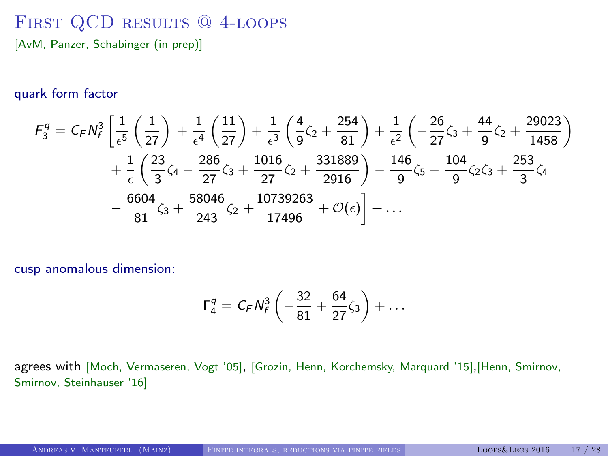## FIRST QCD RESULTS @ 4-LOOPS [AvM, Panzer, Schabinger (in prep)]

#### quark form factor

$$
F_3^q = C_F N_f^3 \left[ \frac{1}{\epsilon^5} \left( \frac{1}{27} \right) + \frac{1}{\epsilon^4} \left( \frac{11}{27} \right) + \frac{1}{\epsilon^3} \left( \frac{4}{9} \zeta_2 + \frac{254}{81} \right) + \frac{1}{\epsilon^2} \left( -\frac{26}{27} \zeta_3 + \frac{44}{9} \zeta_2 + \frac{29023}{1458} \right) \right] + \frac{1}{\epsilon} \left( \frac{23}{3} \zeta_4 - \frac{286}{27} \zeta_3 + \frac{1016}{27} \zeta_2 + \frac{331889}{2916} \right) - \frac{146}{9} \zeta_5 - \frac{104}{9} \zeta_2 \zeta_3 + \frac{253}{3} \zeta_4 - \frac{6604}{81} \zeta_3 + \frac{58046}{243} \zeta_2 + \frac{10739263}{17496} + \mathcal{O}(\epsilon) \right] + \dots
$$

cusp anomalous dimension:

$$
\Gamma_4^q = C_F N_f^3 \left( -\frac{32}{81} + \frac{64}{27} \zeta_3 \right) + \ldots
$$

agrees with [Moch, Vermaseren, Vogt '05], [Grozin, Henn, Korchemsky, Marquard '15],[Henn, Smirnov, Smirnov, Steinhauser '16]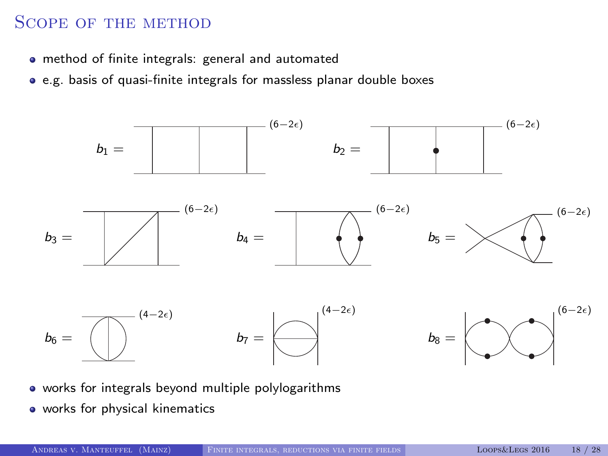## Scope of the method

- method of finite integrals: general and automated
- e.g. basis of quasi-finite integrals for massless planar double boxes



- works for integrals beyond multiple polylogarithms
- works for physical kinematics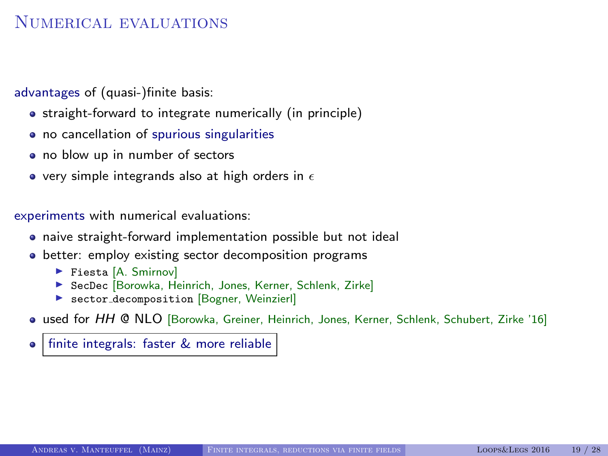## NUMERICAL EVALUATIONS

advantages of (quasi-)finite basis:

- straight-forward to integrate numerically (in principle)
- no cancellation of spurious singularities
- no blow up in number of sectors
- $\bullet$  very simple integrands also at high orders in  $\epsilon$

experiments with numerical evaluations:

- naive straight-forward implementation possible but not ideal
- **•** better: employ existing sector decomposition programs
	- ▶ Fiesta [A. Smirnov]
	- ▶ SecDec [Borowka, Heinrich, Jones, Kerner, Schlenk, Zirke]
	- **Exector\_decomposition [Bogner, Weinzierl]**
- used for HH @ NLO [Borowka, Greiner, Heinrich, Jones, Kerner, Schlenk, Schubert, Zirke '16]

finite integrals: faster & more reliable  $\bullet$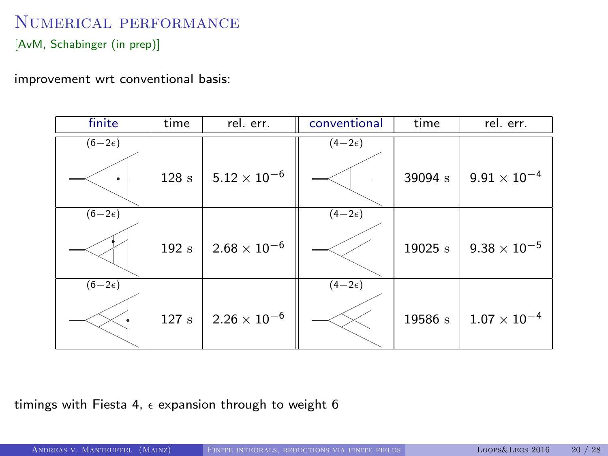# Numerical performance

[AvM, Schabinger (in prep)]

improvement wrt conventional basis:

| finite          | time | rel. err.           | conventional    | time    | rel. err.           |
|-----------------|------|---------------------|-----------------|---------|---------------------|
| $(6-2\epsilon)$ |      |                     | $(4-2\epsilon)$ |         |                     |
|                 | 128s | $5.12\times10^{-6}$ |                 | 39094 s | $9.91\times10^{-4}$ |
| $(6-2\epsilon)$ |      |                     | $(4-2\epsilon)$ |         |                     |
|                 | 192s | $2.68\times10^{-6}$ |                 | 19025 s | $9.38\times10^{-5}$ |
| $(6-2\epsilon)$ |      |                     | $(4-2\epsilon)$ |         |                     |
|                 | 127s | $2.26\times10^{-6}$ |                 | 19586 s | $1.07\times10^{-4}$ |

timings with Fiesta 4,  $\epsilon$  expansion through to weight 6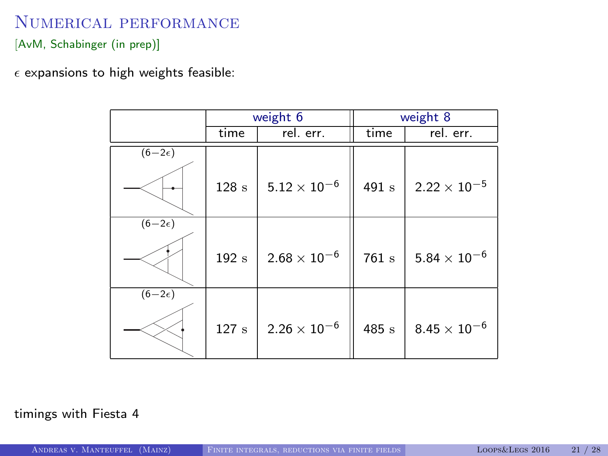## Numerical performance

[AvM, Schabinger (in prep)]

 $\epsilon$  expansions to high weights feasible:

|                 |                  | weight 6            | weight 8         |                       |  |
|-----------------|------------------|---------------------|------------------|-----------------------|--|
|                 | time             | rel. err.           | time             | rel. err.             |  |
| $(6-2\epsilon)$ |                  |                     |                  |                       |  |
|                 | $128~\mathrm{s}$ | $5.12\times10^{-6}$ | 491 s            | $2.22 \times 10^{-5}$ |  |
| $(6-2\epsilon)$ |                  |                     |                  |                       |  |
|                 | 192s             | $2.68\times10^{-6}$ | $761~\mathrm{s}$ | $5.84\times10^{-6}$   |  |
| $(6-2\epsilon)$ |                  |                     |                  |                       |  |
|                 | 127s             | $2.26\times10^{-6}$ | 485 s            | $8.45 \times 10^{-6}$ |  |

#### timings with Fiesta 4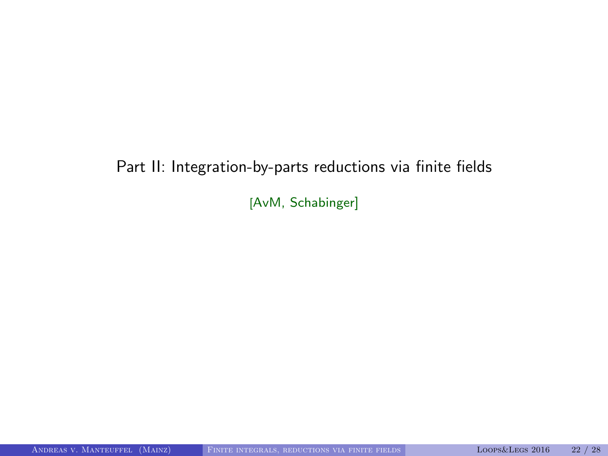# Part II: Integration-by-parts reductions via finite fields

[AvM, Schabinger]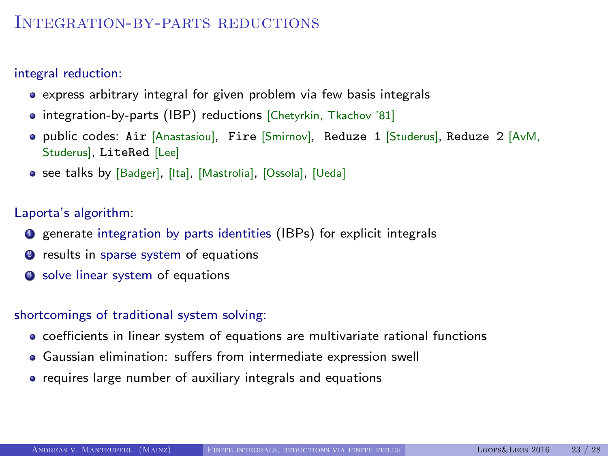## INTEGRATION-BY-PARTS REDUCTIONS

integral reduction:

- express arbitrary integral for given problem via few basis integrals
- integration-by-parts (IBP) reductions [Chetyrkin, Tkachov '81]
- public codes: Air [Anastasiou], Fire [Smirnov], Reduze 1 [Studerus], Reduze 2 [AvM, Studerus], LiteRed [Lee]
- see talks by [Badger], [Ita], [Mastrolia], [Ossola], [Ueda]

Laporta's algorithm:

- **Q** generate integration by parts identities (IBPs) for explicit integrals
- **2** results in sparse system of equations
- **3** solve linear system of equations

#### shortcomings of traditional system solving:

- coefficients in linear system of equations are multivariate rational functions
- Gaussian elimination: suffers from intermediate expression swell
- requires large number of auxiliary integrals and equations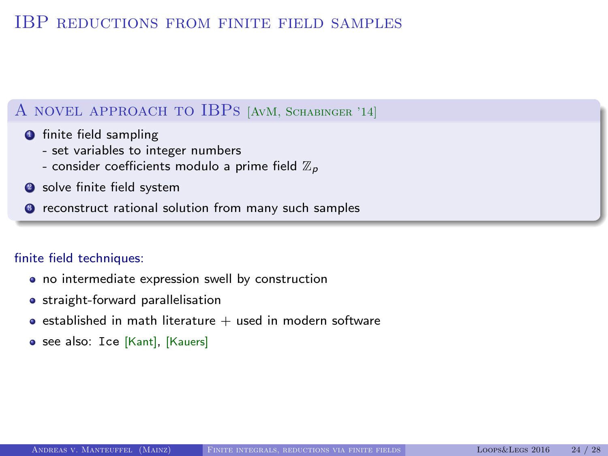### IBP reductions from finite field samples

### A novel approach to IBPs [AvM, Schabinger '14]

- **O** finite field sampling
	- set variables to integer numbers
	- consider coefficients modulo a prime field  $\mathbb{Z}_p$
- **2** solve finite field system
- <sup>3</sup> reconstruct rational solution from many such samples

#### finite field techniques:

- no intermediate expression swell by construction
- **•** straight-forward parallelisation
- **e** established in math literature  $+$  used in modern software
- see also: Ice [Kant], [Kauers]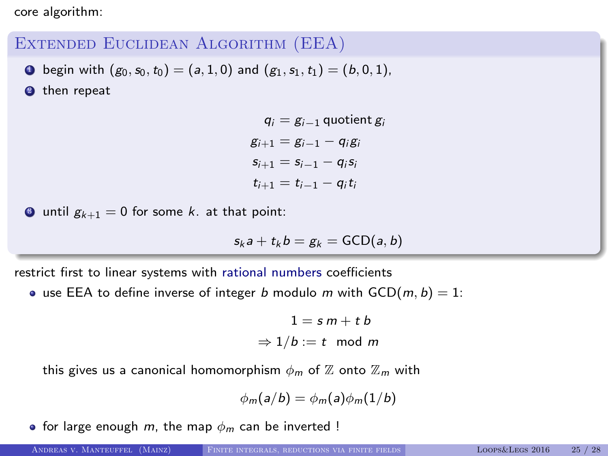core algorithm:

### Extended Euclidean Algorithm (EEA)

**0** begin with  $(g_0, s_0, t_0) = (a, 1, 0)$  and  $(g_1, s_1, t_1) = (b, 0, 1)$ ,

<sup>2</sup> then repeat

 $q_i = g_{i-1}$  quotient  $g_i$  $g_{i+1} = g_{i-1} - g_i g_i$  $s_{i+1} = s_{i-1} - q_i s_i$  $t_{i+1} = t_{i-1} - q_i t_i$ 

 $\bullet$  until  $g_{k+1} = 0$  for some k. at that point:

$$
s_k a + t_k b = g_k = \mathsf{GCD}(a, b)
$$

restrict first to linear systems with rational numbers coefficients

• use EEA to define inverse of integer b modulo m with  $GCD(m, b) = 1$ :

$$
1 = s \, m + t \, b
$$
  

$$
\Rightarrow 1/b := t \mod m
$$

this gives us a canonical homomorphism  $\phi_m$  of  $\mathbb Z$  onto  $\mathbb Z_m$  with

$$
\phi_m(a/b) = \phi_m(a)\phi_m(1/b)
$$

• for large enough m, the map  $\phi_m$  can be inverted !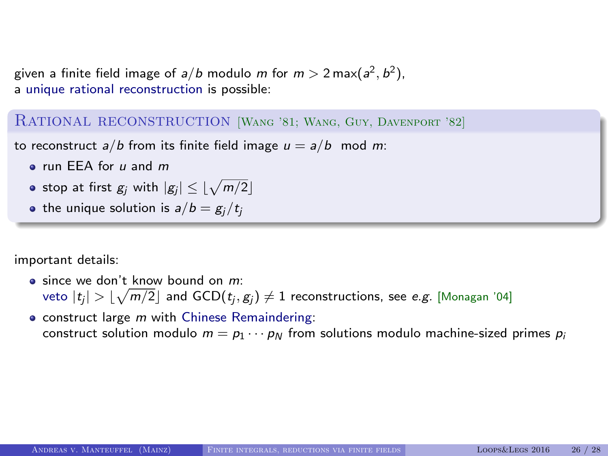given a finite field image of  $a/b$  modulo  $m$  for  $m>2\max(a^2,b^2),$ a unique rational reconstruction is possible:

RATIONAL RECONSTRUCTION [WANG '81; WANG, GUY, DAVENPORT '82]

to reconstruct  $a/b$  from its finite field image  $u = a/b$  mod m:

- **a** run FFA for u and m
- stop at first  $g_j$  with  $|g_j|\leq \lfloor\sqrt{m/2}\rfloor$
- the unique solution is  $a/b = g_i/t_i$

important details:

 $\bullet$  since we don't know bound on  $m$ : veto  $|t_j| > \lfloor\sqrt{m/2}\rfloor$  and  $\text{GCD}(t_j, g_j) \neq 1$  reconstructions, see *e.g.* [Monagan '04]

• construct large m with Chinese Remaindering: construct solution modulo  $m = p_1 \cdots p_N$  from solutions modulo machine-sized primes  $p_i$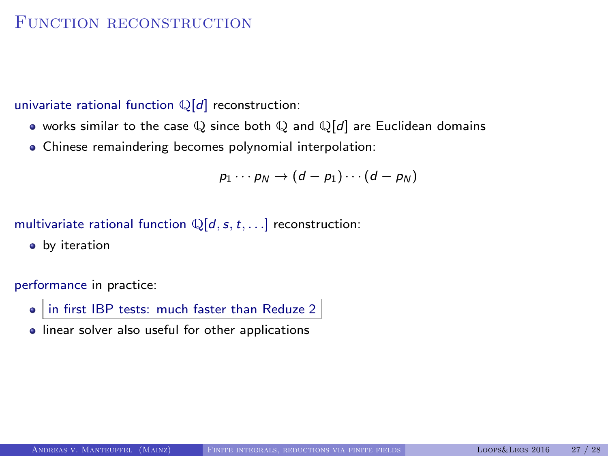### FUNCTION RECONSTRUCTION

univariate rational function  $\mathbb{Q}[d]$  reconstruction:

- works similar to the case  $\mathbb Q$  since both  $\mathbb Q$  and  $\mathbb Q[d]$  are Euclidean domains
- Chinese remaindering becomes polynomial interpolation:

$$
p_1\cdots p_N\to (d-p_1)\cdots(d-p_N)
$$

multivariate rational function  $\mathbb{Q}[d, s, t, \ldots]$  reconstruction:

**•** by iteration

performance in practice:

- in first IBP tests: much faster than Reduze 2
- **.** linear solver also useful for other applications